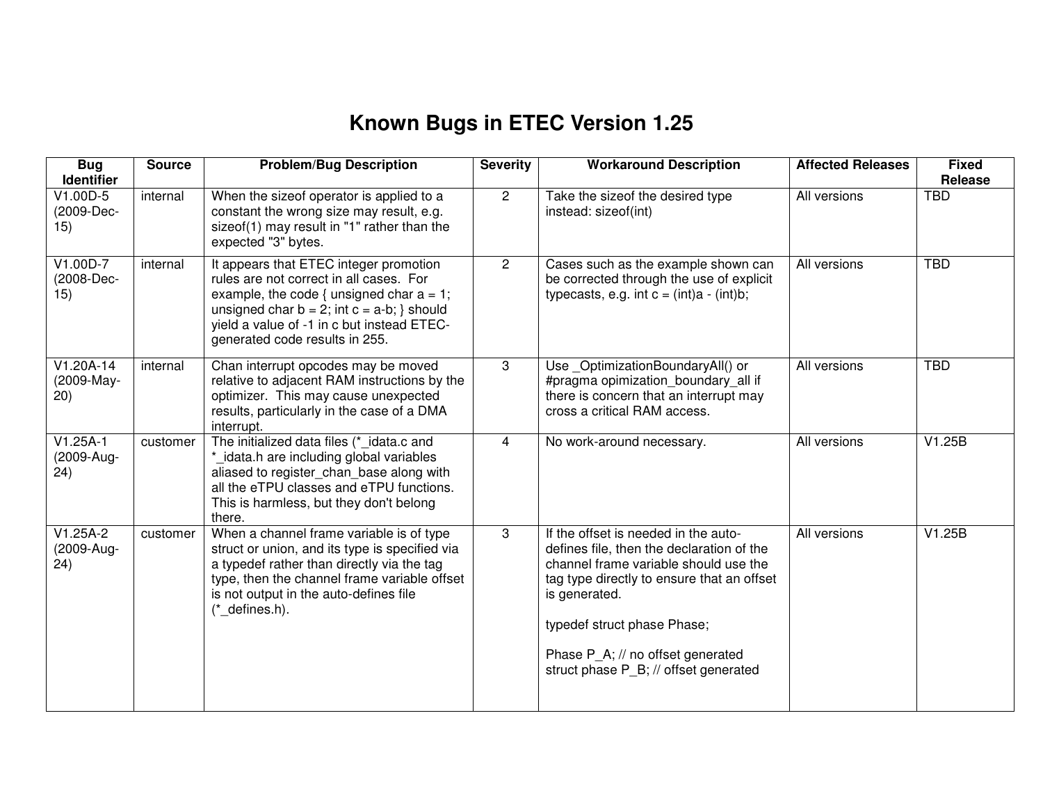## **Known Bugs in ETEC Version 1.25**

| <b>Bug</b><br><b>Identifier</b>   | <b>Source</b> | <b>Problem/Bug Description</b>                                                                                                                                                                                                                                       | <b>Severity</b> | <b>Workaround Description</b>                                                                                                                                                                                                                                                                          | <b>Affected Releases</b> | <b>Fixed</b><br>Release |
|-----------------------------------|---------------|----------------------------------------------------------------------------------------------------------------------------------------------------------------------------------------------------------------------------------------------------------------------|-----------------|--------------------------------------------------------------------------------------------------------------------------------------------------------------------------------------------------------------------------------------------------------------------------------------------------------|--------------------------|-------------------------|
| V1.00D-5<br>(2009-Dec-<br>15)     | internal      | When the sizeof operator is applied to a<br>constant the wrong size may result, e.g.<br>sizeof(1) may result in "1" rather than the<br>expected "3" bytes.                                                                                                           | $\overline{2}$  | Take the sizeof the desired type<br>instead: sizeof(int)                                                                                                                                                                                                                                               | All versions             | <b>TBD</b>              |
| V1.00D-7<br>(2008-Dec-<br>15)     | internal      | It appears that ETEC integer promotion<br>rules are not correct in all cases. For<br>example, the code { unsigned char $a = 1$ ;<br>unsigned char $b = 2$ ; int $c = a-b$ ; } should<br>yield a value of -1 in c but instead ETEC-<br>generated code results in 255. | $\overline{2}$  | Cases such as the example shown can<br>be corrected through the use of explicit<br>typecasts, e.g. int $c = (int)a - (int)b$ ;                                                                                                                                                                         | All versions             | <b>TBD</b>              |
| $V1.20A-14$<br>(2009-May-<br>(20) | internal      | Chan interrupt opcodes may be moved<br>relative to adjacent RAM instructions by the<br>optimizer. This may cause unexpected<br>results, particularly in the case of a DMA<br>interrupt.                                                                              | 3               | Use_OptimizationBoundaryAll() or<br>#pragma opimization boundary all if<br>there is concern that an interrupt may<br>cross a critical RAM access.                                                                                                                                                      | All versions             | <b>TBD</b>              |
| $V1.25A-1$<br>(2009-Aug-<br>(24)  | customer      | The initialized data files (*_idata.c and<br>*_idata.h are including global variables<br>aliased to register_chan_base along with<br>all the eTPU classes and eTPU functions.<br>This is harmless, but they don't belong<br>there.                                   | $\overline{4}$  | No work-around necessary.                                                                                                                                                                                                                                                                              | All versions             | V1.25B                  |
| $V1.25A-2$<br>(2009-Aug-<br>(24)  | customer      | When a channel frame variable is of type<br>struct or union, and its type is specified via<br>a typedef rather than directly via the tag<br>type, then the channel frame variable offset<br>is not output in the auto-defines file<br>$(*$ defines.h).               | 3               | If the offset is needed in the auto-<br>defines file, then the declaration of the<br>channel frame variable should use the<br>tag type directly to ensure that an offset<br>is generated.<br>typedef struct phase Phase;<br>Phase P A; // no offset generated<br>struct phase P B; // offset generated | All versions             | V1.25B                  |
|                                   |               |                                                                                                                                                                                                                                                                      |                 |                                                                                                                                                                                                                                                                                                        |                          |                         |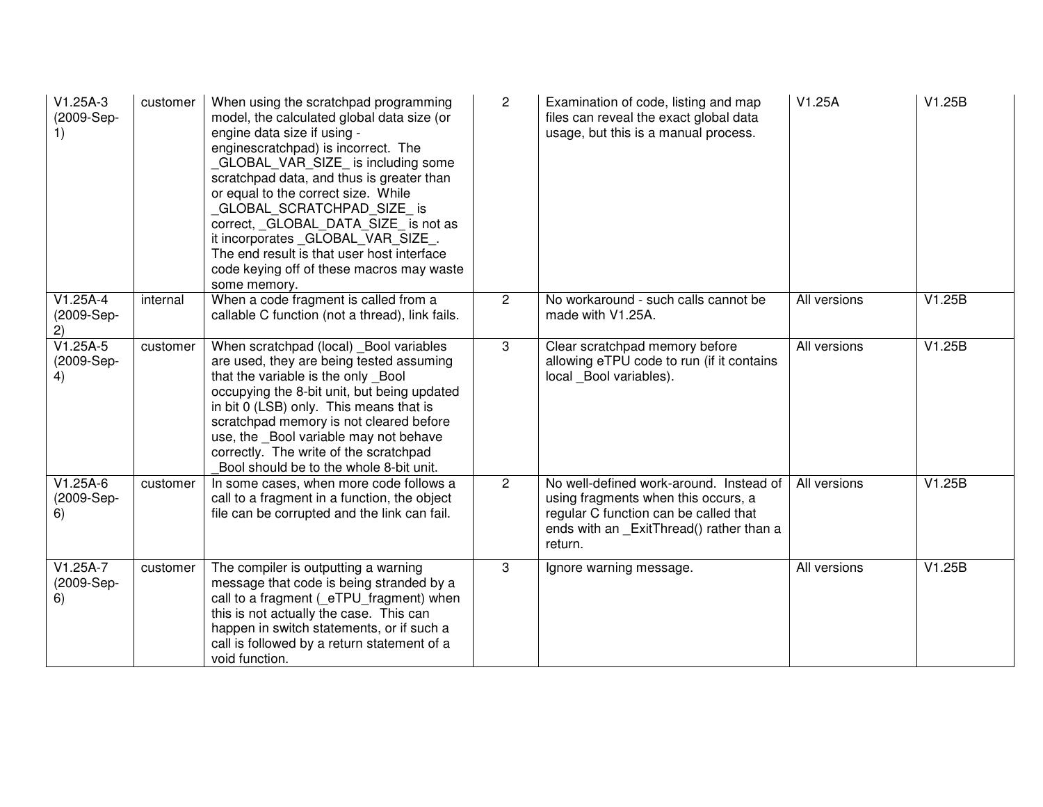| $V1.25A-3$<br>(2009-Sep-<br>1) | customer | When using the scratchpad programming<br>model, the calculated global data size (or<br>engine data size if using -<br>enginescratchpad) is incorrect. The<br>GLOBAL VAR SIZE is including some<br>scratchpad data, and thus is greater than<br>or equal to the correct size. While<br>GLOBAL_SCRATCHPAD_SIZE_ is<br>correct, GLOBAL DATA SIZE is not as<br>it incorporates _GLOBAL_VAR_SIZE_.<br>The end result is that user host interface<br>code keying off of these macros may waste<br>some memory. | $\mathbf{2}$   | Examination of code, listing and map<br>files can reveal the exact global data<br>usage, but this is a manual process.                                                         | V1.25A       | V1.25B |
|--------------------------------|----------|----------------------------------------------------------------------------------------------------------------------------------------------------------------------------------------------------------------------------------------------------------------------------------------------------------------------------------------------------------------------------------------------------------------------------------------------------------------------------------------------------------|----------------|--------------------------------------------------------------------------------------------------------------------------------------------------------------------------------|--------------|--------|
| $V1.25A-4$<br>(2009-Sep-<br>2) | internal | When a code fragment is called from a<br>callable C function (not a thread), link fails.                                                                                                                                                                                                                                                                                                                                                                                                                 | $\overline{2}$ | No workaround - such calls cannot be<br>made with V1.25A.                                                                                                                      | All versions | V1.25B |
| $V1.25A-5$<br>(2009-Sep-<br>4) | customer | When scratchpad (local) _Bool variables<br>are used, they are being tested assuming<br>that the variable is the only Bool<br>occupying the 8-bit unit, but being updated<br>in bit 0 (LSB) only. This means that is<br>scratchpad memory is not cleared before<br>use, the Bool variable may not behave<br>correctly. The write of the scratchpad<br>Bool should be to the whole 8-bit unit.                                                                                                             | 3              | Clear scratchpad memory before<br>allowing eTPU code to run (if it contains<br>local Bool variables).                                                                          | All versions | V1.25B |
| $V1.25A-6$<br>(2009-Sep-<br>6) | customer | In some cases, when more code follows a<br>call to a fragment in a function, the object<br>file can be corrupted and the link can fail.                                                                                                                                                                                                                                                                                                                                                                  | $\overline{2}$ | No well-defined work-around. Instead of<br>using fragments when this occurs, a<br>regular C function can be called that<br>ends with an _ExitThread() rather than a<br>return. | All versions | V1.25B |
| $V1.25A-7$<br>(2009-Sep-<br>6) | customer | The compiler is outputting a warning<br>message that code is being stranded by a<br>call to a fragment ( eTPU fragment) when<br>this is not actually the case. This can<br>happen in switch statements, or if such a<br>call is followed by a return statement of a<br>void function.                                                                                                                                                                                                                    | 3              | Ignore warning message.                                                                                                                                                        | All versions | V1.25B |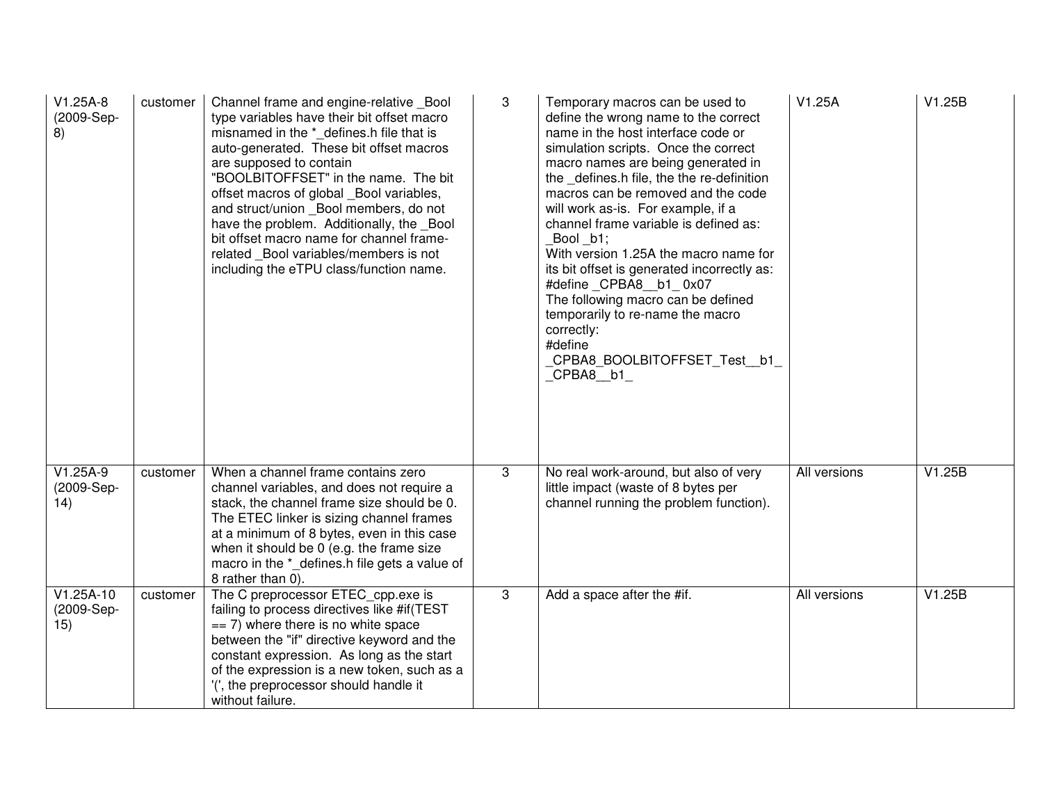| $V1.25A-8$<br>(2009-Sep-<br>8)   | customer | Channel frame and engine-relative Bool<br>type variables have their bit offset macro<br>misnamed in the * defines.h file that is<br>auto-generated. These bit offset macros<br>are supposed to contain<br>"BOOLBITOFFSET" in the name. The bit<br>offset macros of global _Bool variables,<br>and struct/union _Bool members, do not<br>have the problem. Additionally, the Bool<br>bit offset macro name for channel frame-<br>related Bool variables/members is not<br>including the eTPU class/function name. | 3 | Temporary macros can be used to<br>define the wrong name to the correct<br>name in the host interface code or<br>simulation scripts. Once the correct<br>macro names are being generated in<br>the defines.h file, the the re-definition<br>macros can be removed and the code<br>will work as-is. For example, if a<br>channel frame variable is defined as:<br>Bool b1;<br>With version 1.25A the macro name for<br>its bit offset is generated incorrectly as:<br>#define CPBA8 b1 0x07<br>The following macro can be defined<br>temporarily to re-name the macro<br>correctly:<br>#define<br>CPBA8_BOOLBITOFFSET_Test_b1_<br>$CPBA8$ $b1$ | V1.25A       | V1.25B |
|----------------------------------|----------|------------------------------------------------------------------------------------------------------------------------------------------------------------------------------------------------------------------------------------------------------------------------------------------------------------------------------------------------------------------------------------------------------------------------------------------------------------------------------------------------------------------|---|-----------------------------------------------------------------------------------------------------------------------------------------------------------------------------------------------------------------------------------------------------------------------------------------------------------------------------------------------------------------------------------------------------------------------------------------------------------------------------------------------------------------------------------------------------------------------------------------------------------------------------------------------|--------------|--------|
| $V1.25A-9$<br>(2009-Sep-<br>14)  | customer | When a channel frame contains zero<br>channel variables, and does not require a<br>stack, the channel frame size should be 0.<br>The ETEC linker is sizing channel frames<br>at a minimum of 8 bytes, even in this case<br>when it should be 0 (e.g. the frame size<br>macro in the *_defines.h file gets a value of<br>8 rather than 0).                                                                                                                                                                        | 3 | No real work-around, but also of very<br>little impact (waste of 8 bytes per<br>channel running the problem function).                                                                                                                                                                                                                                                                                                                                                                                                                                                                                                                        | All versions | V1.25B |
| $V1.25A-10$<br>(2009-Sep-<br>15) | customer | The C preprocessor ETEC_cpp.exe is<br>failing to process directives like #if(TEST<br>$== 7$ ) where there is no white space<br>between the "if" directive keyword and the<br>constant expression. As long as the start<br>of the expression is a new token, such as a<br>'(', the preprocessor should handle it<br>without failure.                                                                                                                                                                              | 3 | Add a space after the #if.                                                                                                                                                                                                                                                                                                                                                                                                                                                                                                                                                                                                                    | All versions | V1.25B |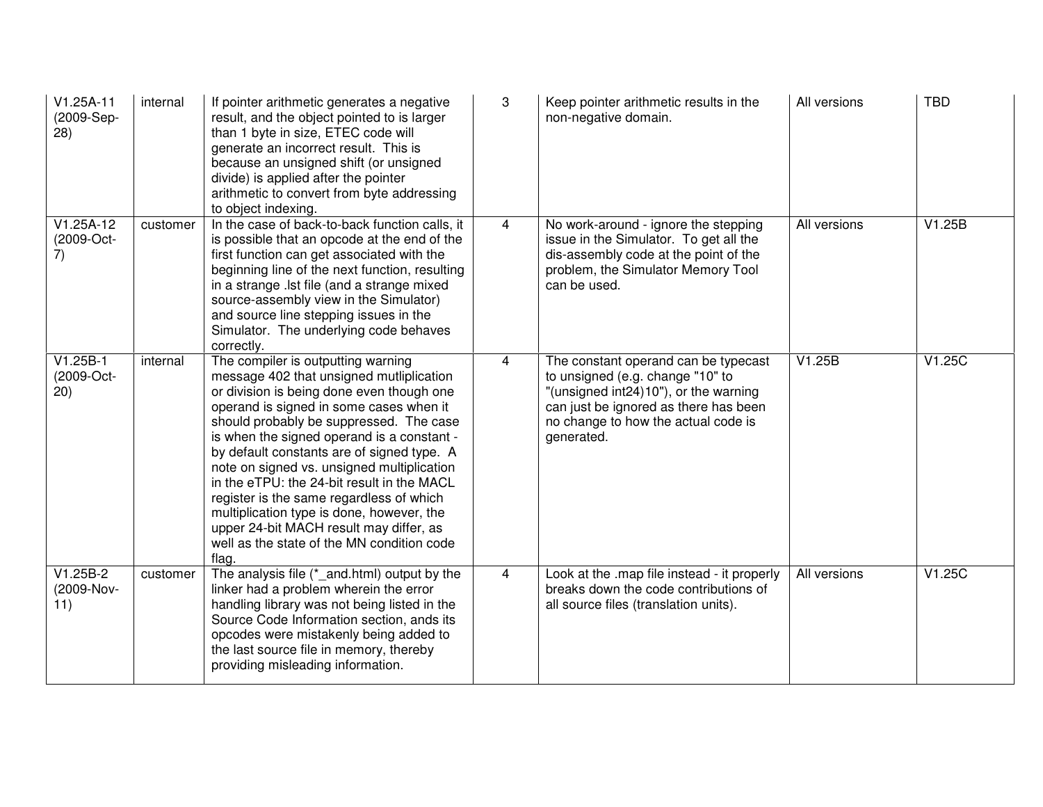| $V1.25A-11$<br>(2009-Sep-<br>28) | internal | If pointer arithmetic generates a negative<br>result, and the object pointed to is larger<br>than 1 byte in size, ETEC code will<br>generate an incorrect result. This is<br>because an unsigned shift (or unsigned<br>divide) is applied after the pointer<br>arithmetic to convert from byte addressing<br>to object indexing.                                                                                                                                                                                                                                                                     | 3              | Keep pointer arithmetic results in the<br>non-negative domain.                                                                                                                                                  | All versions | <b>TBD</b> |
|----------------------------------|----------|------------------------------------------------------------------------------------------------------------------------------------------------------------------------------------------------------------------------------------------------------------------------------------------------------------------------------------------------------------------------------------------------------------------------------------------------------------------------------------------------------------------------------------------------------------------------------------------------------|----------------|-----------------------------------------------------------------------------------------------------------------------------------------------------------------------------------------------------------------|--------------|------------|
| $V1.25A-12$<br>(2009-Oct-<br>7)  | customer | In the case of back-to-back function calls, it<br>is possible that an opcode at the end of the<br>first function can get associated with the<br>beginning line of the next function, resulting<br>in a strange .lst file (and a strange mixed<br>source-assembly view in the Simulator)<br>and source line stepping issues in the<br>Simulator. The underlying code behaves<br>correctly.                                                                                                                                                                                                            | $\overline{4}$ | No work-around - ignore the stepping<br>issue in the Simulator. To get all the<br>dis-assembly code at the point of the<br>problem, the Simulator Memory Tool<br>can be used.                                   | All versions | V1.25B     |
| $V1.25B-1$<br>(2009-Oct-<br>(20) | internal | The compiler is outputting warning<br>message 402 that unsigned mutliplication<br>or division is being done even though one<br>operand is signed in some cases when it<br>should probably be suppressed. The case<br>is when the signed operand is a constant -<br>by default constants are of signed type. A<br>note on signed vs. unsigned multiplication<br>in the eTPU: the 24-bit result in the MACL<br>register is the same regardless of which<br>multiplication type is done, however, the<br>upper 24-bit MACH result may differ, as<br>well as the state of the MN condition code<br>flag. | 4              | The constant operand can be typecast<br>to unsigned (e.g. change "10" to<br>"(unsigned int24)10"), or the warning<br>can just be ignored as there has been<br>no change to how the actual code is<br>generated. | V1.25B       | V1.25C     |
| $V1.25B-2$<br>(2009-Nov-<br>11)  | customer | The analysis file (*_and.html) output by the<br>linker had a problem wherein the error<br>handling library was not being listed in the<br>Source Code Information section, ands its<br>opcodes were mistakenly being added to<br>the last source file in memory, thereby<br>providing misleading information.                                                                                                                                                                                                                                                                                        | $\overline{4}$ | Look at the .map file instead - it properly<br>breaks down the code contributions of<br>all source files (translation units).                                                                                   | All versions | V1.25C     |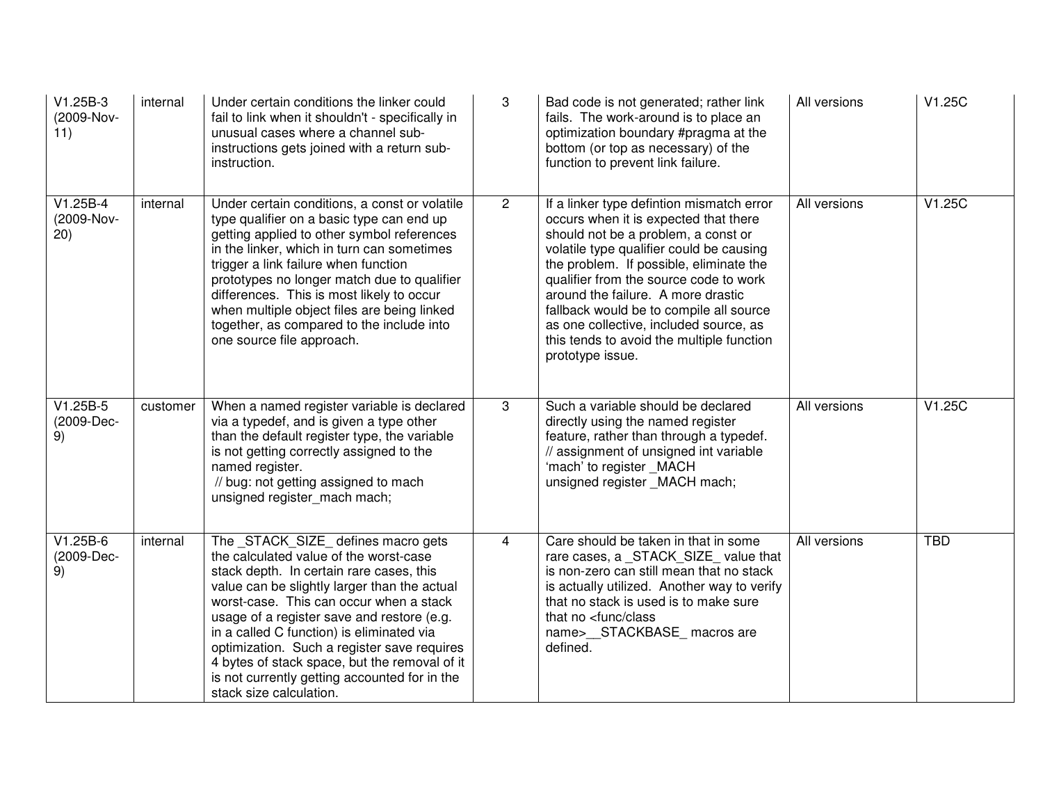| V1.25B-3<br>(2009-Nov-<br>11)    | internal | Under certain conditions the linker could<br>fail to link when it shouldn't - specifically in<br>unusual cases where a channel sub-<br>instructions gets joined with a return sub-<br>instruction.                                                                                                                                                                                                                                                                                        | 3              | Bad code is not generated; rather link<br>fails. The work-around is to place an<br>optimization boundary #pragma at the<br>bottom (or top as necessary) of the<br>function to prevent link failure.                                                                                                                                                                                                                                                    | All versions | V1.25C     |
|----------------------------------|----------|-------------------------------------------------------------------------------------------------------------------------------------------------------------------------------------------------------------------------------------------------------------------------------------------------------------------------------------------------------------------------------------------------------------------------------------------------------------------------------------------|----------------|--------------------------------------------------------------------------------------------------------------------------------------------------------------------------------------------------------------------------------------------------------------------------------------------------------------------------------------------------------------------------------------------------------------------------------------------------------|--------------|------------|
| $V1.25B-4$<br>(2009-Nov-<br>(20) | internal | Under certain conditions, a const or volatile<br>type qualifier on a basic type can end up<br>getting applied to other symbol references<br>in the linker, which in turn can sometimes<br>trigger a link failure when function<br>prototypes no longer match due to qualifier<br>differences. This is most likely to occur<br>when multiple object files are being linked<br>together, as compared to the include into<br>one source file approach.                                       | $\overline{2}$ | If a linker type defintion mismatch error<br>occurs when it is expected that there<br>should not be a problem, a const or<br>volatile type qualifier could be causing<br>the problem. If possible, eliminate the<br>qualifier from the source code to work<br>around the failure. A more drastic<br>fallback would be to compile all source<br>as one collective, included source, as<br>this tends to avoid the multiple function<br>prototype issue. | All versions | V1.25C     |
| $V1.25B-5$<br>(2009-Dec-<br>9)   | customer | When a named register variable is declared<br>via a typedef, and is given a type other<br>than the default register type, the variable<br>is not getting correctly assigned to the<br>named register.<br>// bug: not getting assigned to mach<br>unsigned register mach mach;                                                                                                                                                                                                             | 3              | Such a variable should be declared<br>directly using the named register<br>feature, rather than through a typedef.<br>// assignment of unsigned int variable<br>'mach' to register _MACH<br>unsigned register MACH mach;                                                                                                                                                                                                                               | All versions | V1.25C     |
| $V1.25B-6$<br>(2009-Dec-<br>9)   | internal | The STACK SIZE defines macro gets<br>the calculated value of the worst-case<br>stack depth. In certain rare cases, this<br>value can be slightly larger than the actual<br>worst-case. This can occur when a stack<br>usage of a register save and restore (e.g.<br>in a called C function) is eliminated via<br>optimization. Such a register save requires<br>4 bytes of stack space, but the removal of it<br>is not currently getting accounted for in the<br>stack size calculation. | $\overline{4}$ | Care should be taken in that in some<br>rare cases, a _STACK_SIZE_value that<br>is non-zero can still mean that no stack<br>is actually utilized. Another way to verify<br>that no stack is used is to make sure<br>that no <func class<br="">name&gt; STACKBASE macros are<br/>defined.</func>                                                                                                                                                        | All versions | <b>TBD</b> |